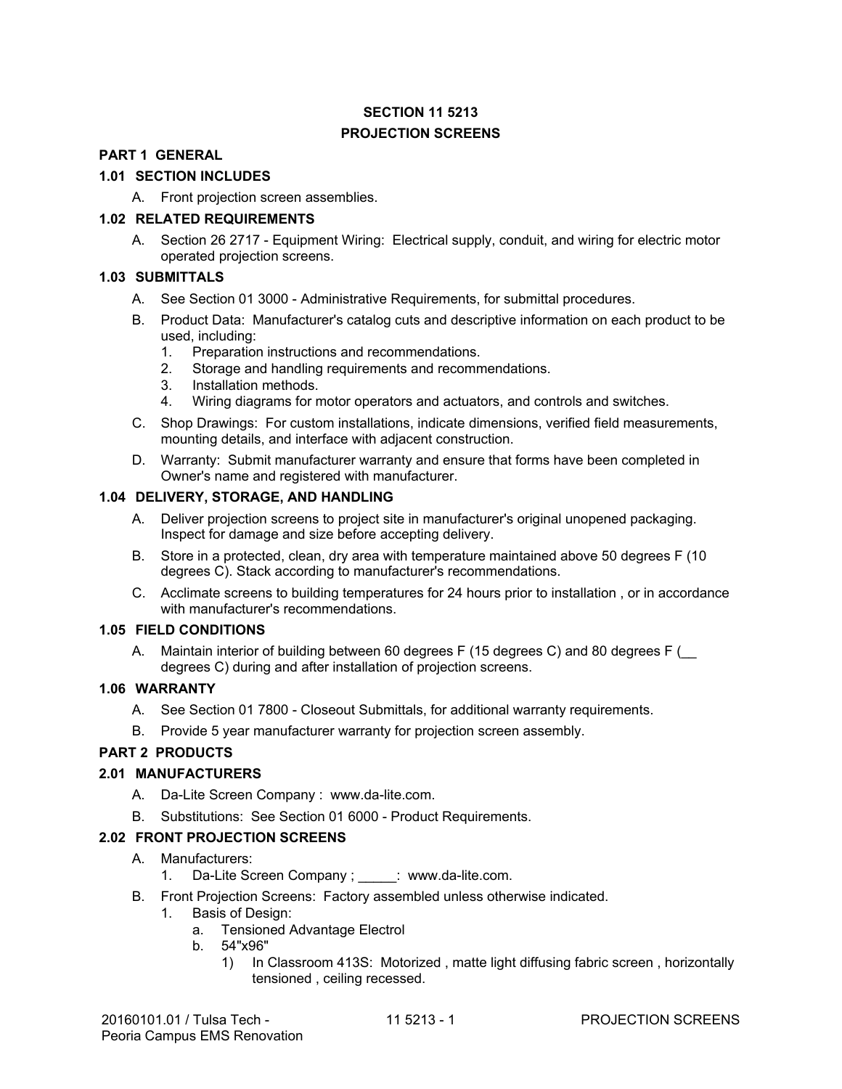### **SECTION 11 5213 PROJECTION SCREENS**

#### **PART <sup>1</sup> GENERAL**

# **1.01 SECTION INCLUDES PART 1 GENERAL 1.01 SECTION INCLUDES**

A. Front projection screen assemblies. A. Front projection screen assemblies.

#### **1.02 RELATED REQUIREMENTS 1.02 RELATED REQUIREMENTS**

A. Section 26 2717 - Equipment Wiring: Electrical supply, conduit, and wiring for electric motor A. Section 26 2717 - Equipment Wiring: Electrical supply, conduit, and wiring for electric motor operated projection screens. operated projection screens.

#### **1.03 SUBMITTALS 1.03 SUBMITTALS**

- A. See Section 01 3000 Administrative Requirements, for submittal procedures.
- B. Product Data: Manufacturer's catalog cuts and descriptive information on each product to be used, including: A. See Section 01 3000 - Administrative Requirements, for submittal procedures.<br>B. Product Data: Manufacturer's catalog cuts and descriptive information on each product to be<br>used, including:
	- 1. Preparation instructions and recommendations. 1. Preparation instructions and recommendations.
	- 2. Storage and handling requirements and recommendations. 2. Storage and handling requirements and recommendations.
	- 3. Installation methods. 3. Installation methods.
	- 4. Wiring diagrams for motor operators and actuators, and controls and switches. 4. Wiring diagrams for motor operators and actuators, and controls and switches.
- C. Shop Drawings: For custom installations, indicate dimensions, verified field measurements, mounting details, and interface with adjacent construction. mounting details, and interface with adjacent construction.
- D. Warranty: Submit manufacturer warranty and ensure that forms have been completed in Owner's name and registered with manufacturer. Owner's name and registered with manufacturer.

#### **1.04 DELIVERY, STORAGE, AND HANDLING 1.04 DELIVERY, STORAGE, AND HANDLING**

- A. Deliver projection screens to project site in manufacturer's original unopened packaging. A. Deliver projection screens to project site in manufacturer's original unopened packaging. Inspect for damage and size before accepting delivery. Inspect for damage and size before accepting delivery.
- B. Store in a protected, clean, dry area with temperature maintained above 50 degrees F (10<br>degrees C). Stack according to manufacturer's recommendations. degrees C). Stack according to manufacturer's recommendations.
- C. Acclimate screens to building temperatures for 24 hours prior to installation , or in accordance C. Acclimate screens to building temperatures for 24 hours prior to installation , or in accordance with manufacturer's recommendations. with manufacturer's recommendations.

#### **1.05 FIELD CONDITIONS 1.05 FIELD CONDITIONS**

A. Maintain interior of building between <sup>60</sup> degrees <sup>F</sup> (15 degrees C) and <sup>80</sup> degrees <sup>F</sup> (\_ A. Maintain interior of building between 60 degrees F (15 degrees C) and 80 degrees F (\_\_ degrees C) during and after installation of projection screens. degrees C) during and after installation of projection screens.

#### **1.06 WARRANTY**

- A. See Section 01 7800 Closeout Submittals, for additional warranty requirements.
- B. Provide 5 year manufacturer warranty for projection screen assembly.

#### **PART 2 PRODUCTS**

#### **2.01 MANUFACTURERS**

- A. Da-Lite Screen Company : www.da-lite.com.
- B. Substitutions: See Section 01 6000 Product Requirements.

#### **2.02 FRONT PROJECTION SCREENS**

- A. Manufacturers:
	- 1. Da-Lite Screen Company ; \_\_\_\_\_: www.da-lite.com.
- B. Front Projection Screens: Factory assembled unless otherwise indicated.
	- 1. Basis of Design:
		- a. Tensioned Advantage Electrol
		- b. 54"x96"
			- 1) In Classroom 413S: Motorized , matte light diffusing fabric screen , horizontally tensioned , ceiling recessed.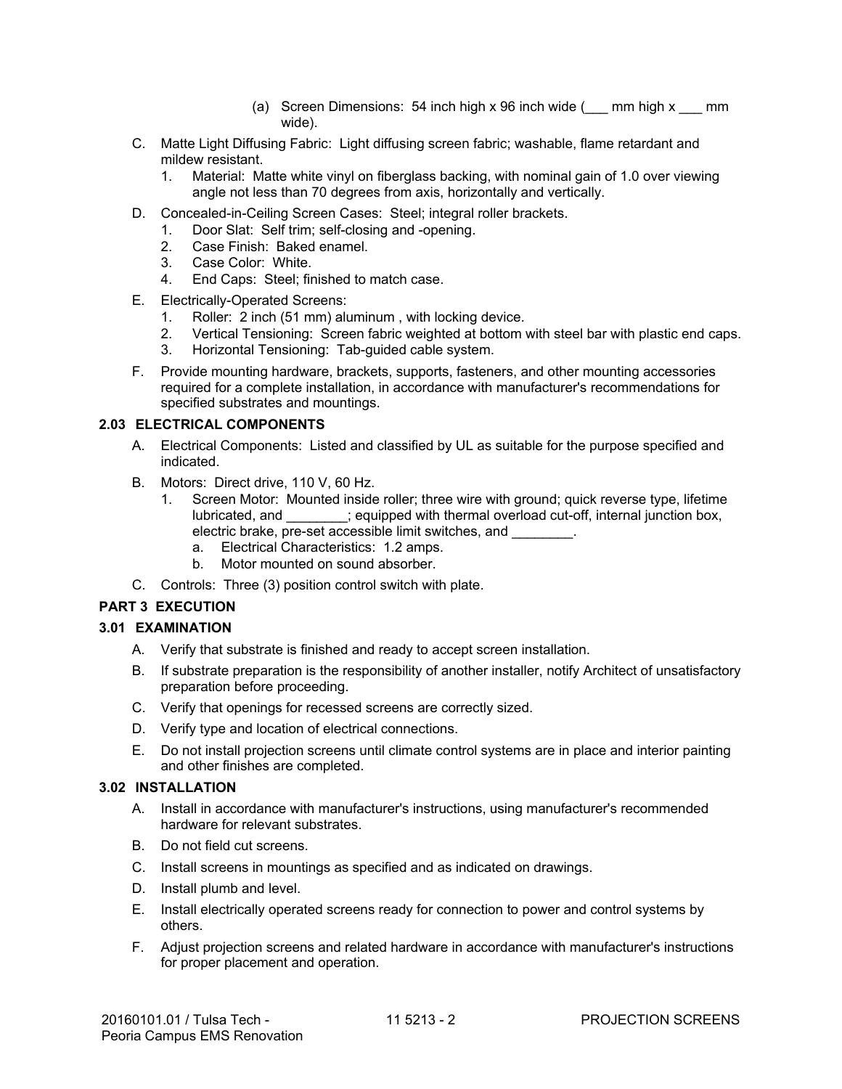- (a) Screen Dimensions: 54 inch high x 96 inch wide  $(\_\_\_\_\_\_\_\_\$ nm high x  $\_\_\_\_\_\$ mm wide). wide).
- C. Matte Light Diffusing Fabric: Light diffusing screen fabric; washable, flame retardant and C. Matte Light Diffusing Fabric: Light diffusing screen fabric; washable, flame retardant and mildew resistant. mildew resistant.
	- 1. Material: Matte white vinyl on fiberglass backing, with nominal gain of 1.0 over viewing 1. Material: Matte white vinyl on fiberglass backing, with nominal gain of 1.0 over viewing angle not less than 70 degrees from axis, horizontally and vertically. angle not less than 70 degrees from axis, horizontally and vertically.
- D. Concealed-in-Ceiling Screen Cases: Steel; integral roller brackets. D. Concealed-in-Ceiling Screen Cases: Steel; integral roller brackets. 1. Door Slat: Self trim; self-closing and -opening.
	- 1. Door Slat: Self trim; self-closing and -opening.
	- 2. Case Finish: Baked enamel. 2. Case Finish: Baked enamel.
	- 3. Case Color: White. 3. Case Color: White.
	- 4. End Caps: Steel; finished to match case. 4. End Caps: Steel; finished to match case.
- E. Electrically-Operated Screens: E. Electrically-Operated Screens:
	- 1. Roller: 2 inch (51 mm) aluminum , with locking device. 1. Roller: 2 inch (51 mm) aluminum , with locking device.
	- 2. Vertical Tensioning: Screen fabric weighted at bottom with steel bar with plastic end caps. 2. Vertical Tensioning: Screen fabric weighted at bottom with steel bar with plastic end caps.
	- 3. Horizontal Tensioning: Tab-guided cable system. 3. Horizontal Tensioning: Tab-guided cable system.
- F. Provide mounting hardware, brackets, supports, fasteners, and other mounting accessories F. Provide mounting hardware, brackets, supports, fasteners, and other mounting accessories required for a complete installation, in accordance with manufacturer's recommendations for<br>specified substrates and mountings. specified substrates and mountings.

#### **2.03 ELECTRICAL COMPONENTS 2.03 ELECTRICAL COMPONENTS**

- A. Electrical Components: Listed and classified by UL as suitable for the purpose specified and A. Electrical Components: Listed and classified by UL as suitable for the purpose specified and indicated. indicated.
- B. Motors: Direct drive, 110 V, 60 Hz.
	- 1. Screen Motor: Mounted inside roller; three wire with ground; quick reverse type, lifetime lubricated, and \_\_\_\_\_\_\_\_; equipped with thermal overload cut-off, internal junction box, electric brake, pre-set accessible limit switches, and \_\_\_\_\_\_\_\_.
		- a. Electrical Characteristics: 1.2 amps.
		- b. Motor mounted on sound absorber.
- C. Controls: Three (3) position control switch with plate.

#### **PART 3 EXECUTION**

#### **3.01 EXAMINATION**

- A. Verify that substrate is finished and ready to accept screen installation.
- B. If substrate preparation is the responsibility of another installer, notify Architect of unsatisfactory preparation before proceeding.
- C. Verify that openings for recessed screens are correctly sized.
- D. Verify type and location of electrical connections.
- E. Do not install projection screens until climate control systems are in place and interior painting and other finishes are completed.

#### **3.02 INSTALLATION**

- A. Install in accordance with manufacturer's instructions, using manufacturer's recommended hardware for relevant substrates.
- B. Do not field cut screens.
- C. Install screens in mountings as specified and as indicated on drawings.
- D. Install plumb and level.
- E. Install electrically operated screens ready for connection to power and control systems by others.
- F. Adjust projection screens and related hardware in accordance with manufacturer's instructions for proper placement and operation.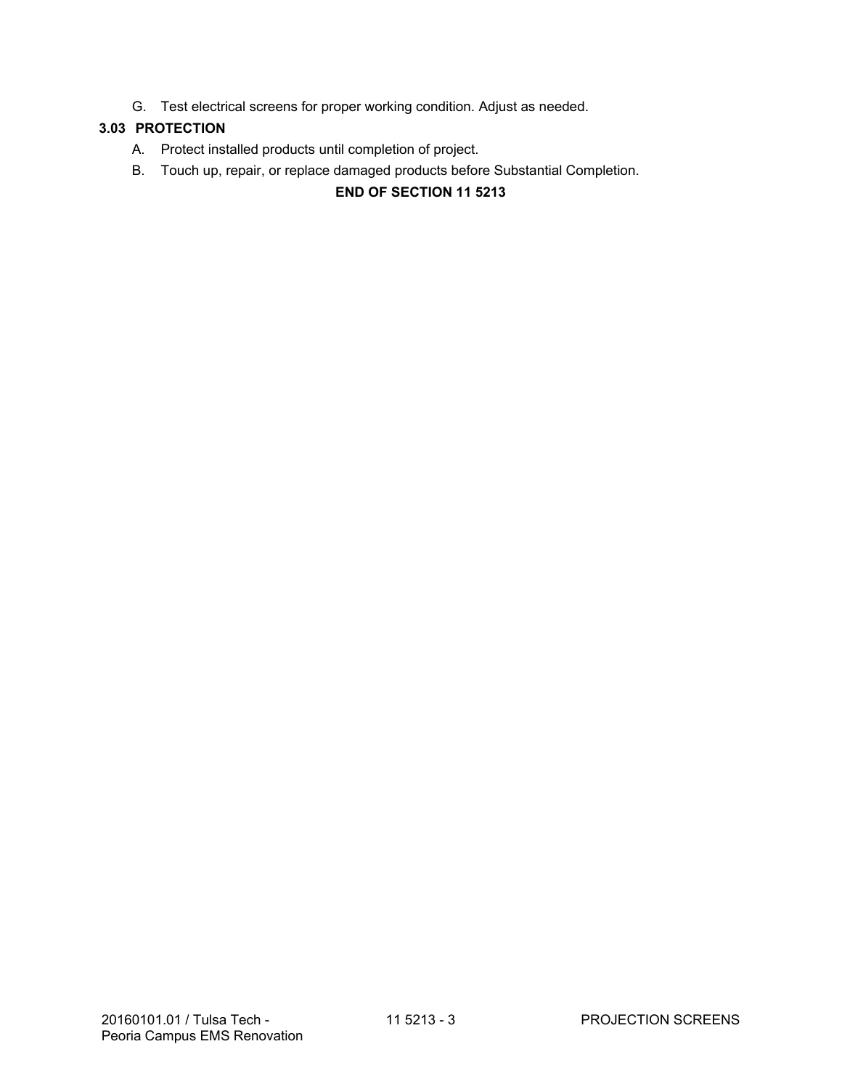G. Test electrical screens for proper working condition. Adjust as needed.

## **3.03 PROTECTION**

- A. Protect installed products until completion of project.
- B. Touch up, repair, or replace damaged products before Substantial Completion.

# **END OF SECTION 11 5213**